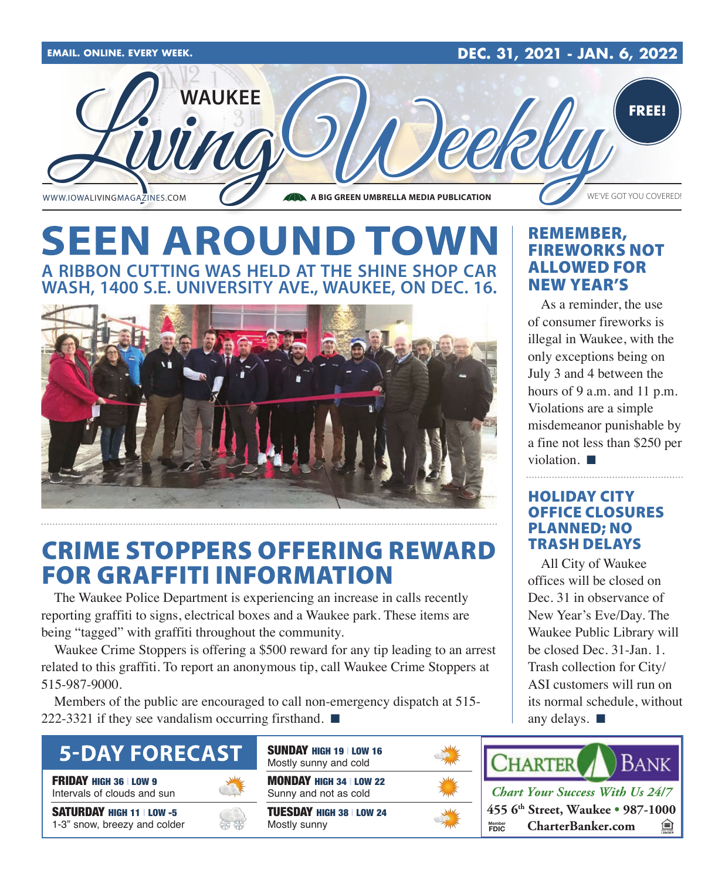

**EMAIL. ONLINE. EVERY WEEK. DEC. 31, 2021 - JAN. 6, 2022**



### **SEEN AROUND TOWN A RIBBON CUTTING WAS HELD AT THE SHINE SHOP CAR WASH, 1400 S.E. UNIVERSITY AVE., WAUKEE, ON DEC. 16.**



### CRIME STOPPERS OFFERING REWARD FOR GRAFFITI INFORMATION

The Waukee Police Department is experiencing an increase in calls recently reporting graffiti to signs, electrical boxes and a Waukee park. These items are being "tagged" with graffiti throughout the community.

Waukee Crime Stoppers is offering a \$500 reward for any tip leading to an arrest related to this graffiti. To report an anonymous tip, call Waukee Crime Stoppers at 515-987-9000.

Members of the public are encouraged to call non-emergency dispatch at 515- 222-3321 if they see vandalism occurring firsthand.  $\blacksquare$ 

### **5-DAY FORECAST**

**FRIDAY HIGH 36 | LOW 9** 

Intervals of clouds and sun

SATURDAY HIGH 11 | LOW -5 1-3" snow, breezy and colder



MONDAY HIGH 34 | LOW 22 SUNDAY HIGH 19 | LOW 16 Mostly sunny and cold

Sunny and not as cold

TUESDAY HIGH 38 | LOW 24 Mostly sunny

#### As a reminder, the use of consumer fireworks is illegal in Waukee, with the NEW YEAR'S

REMEMBER, FIREWORKS NOT ALLOWED FOR

only exceptions being on July 3 and 4 between the hours of 9 a.m. and 11 p.m. Violations are a simple misdemeanor punishable by a fine not less than \$250 per violation.  $\blacksquare$ 

#### HOLIDAY CITY OFFICE CLOSURES PLANNED; NO TRASH DELAYS

All City of Waukee offices will be closed on Dec. 31 in observance of New Year's Eve/Day. The Waukee Public Library will be closed Dec. 31-Jan. 1. Trash collection for City/ ASI customers will run on its normal schedule, without any delays.  $\blacksquare$ 



*Chart Your Success With Us 24/7* **455 6th Street, Waukee • 987-1000 Member**<br>FDIC:  $$ 鱼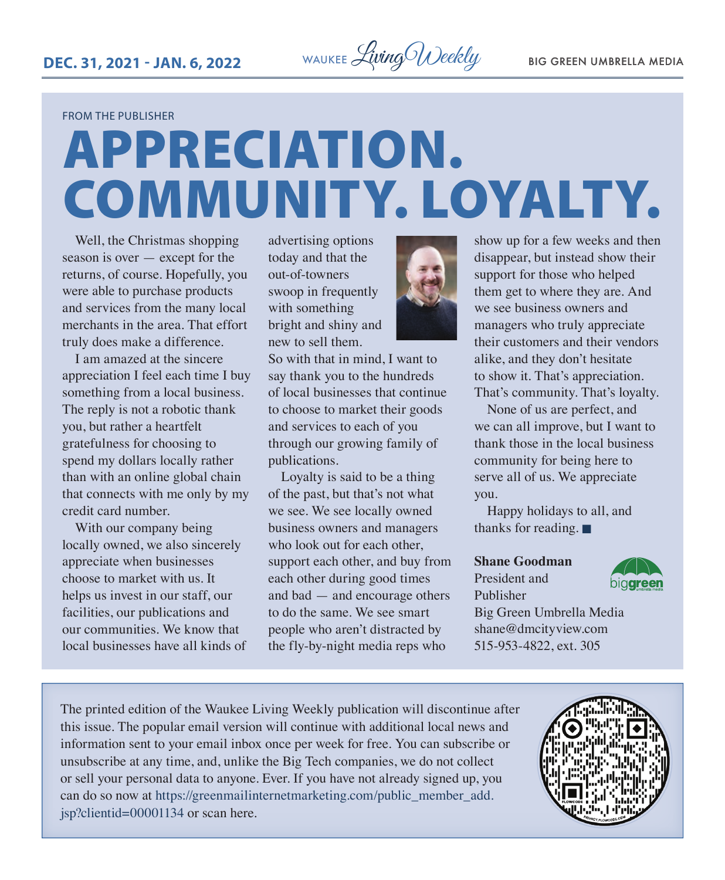FROM THE PUBLISHER

# APPRECIATION. COMMUNITY. LOYALTY.

Well, the Christmas shopping season is over — except for the returns, of course. Hopefully, you were able to purchase products and services from the many local merchants in the area. That effort truly does make a difference.

I am amazed at the sincere appreciation I feel each time I buy something from a local business. The reply is not a robotic thank you, but rather a heartfelt gratefulness for choosing to spend my dollars locally rather than with an online global chain that connects with me only by my credit card number.

With our company being locally owned, we also sincerely appreciate when businesses choose to market with us. It helps us invest in our staff, our facilities, our publications and our communities. We know that local businesses have all kinds of advertising options today and that the out-of-towners swoop in frequently with something bright and shiny and new to sell them.

So with that in mind, I want to say thank you to the hundreds of local businesses that continue to choose to market their goods and services to each of you through our growing family of publications.

Loyalty is said to be a thing of the past, but that's not what we see. We see locally owned business owners and managers who look out for each other, support each other, and buy from each other during good times and bad — and encourage others to do the same. We see smart people who aren't distracted by the fly-by-night media reps who



show up for a few weeks and then disappear, but instead show their support for those who helped them get to where they are. And we see business owners and managers who truly appreciate their customers and their vendors alike, and they don't hesitate to show it. That's appreciation. That's community. That's loyalty.

None of us are perfect, and we can all improve, but I want to thank those in the local business community for being here to serve all of us. We appreciate you.

Happy holidays to all, and thanks for reading.  $\blacksquare$ 

#### **Shane Goodman** President and

bia**areen** 

Publisher Big Green Umbrella Media shane@dmcityview.com 515-953-4822, ext. 305

The printed edition of the Waukee Living Weekly publication will discontinue after this issue. The popular email version will continue with additional local news and information sent to your email inbox once per week for free. You can subscribe or unsubscribe at any time, and, unlike the Big Tech companies, we do not collect or sell your personal data to anyone. Ever. If you have not already signed up, you can do so now at https://greenmailinternetmarketing.com/public\_member\_add. jsp?clientid=00001134 or scan here.

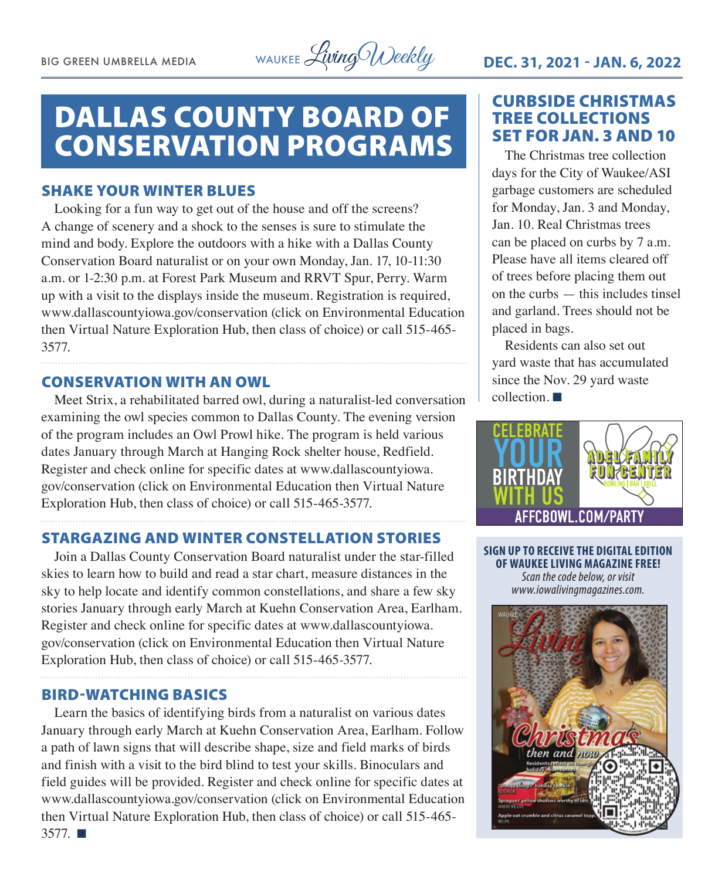BIG GREEN UMBRELLA MEDIA WAUKEE  $\mathcal{L}$ *wing Weekly* **DEC. 31, 2021 - JAN. 6, 2022** 

## **DALLAS COUNTY BOARD OF CONSERVATION PROGRAMS**

#### SHAKE YOUR WINTER BLUES

Looking for a fun way to get out of the house and off the screens? A change of scenery and a shock to the senses is sure to stimulate the mind and body. Explore the outdoors with a hike with a Dallas County Conservation Board naturalist or on your own Monday, Jan. 17, 10-11:30 a.m. or 1-2:30 p.m. at Forest Park Museum and RRVT Spur, Perry. Warm up with a visit to the displays inside the museum. Registration is required, www.dallascountyiowa.gov/conservation (click on Environmental Education then Virtual Nature Exploration Hub, then class of choice) or call 515-465- 3577.

#### CONSERVATION WITH AN OWL

Meet Strix, a rehabilitated barred owl, during a naturalist-led conversation examining the owl species common to Dallas County. The evening version of the program includes an Owl Prowl hike. The program is held various dates January through March at Hanging Rock shelter house, Redfield. Register and check online for specific dates at www.dallascountyiowa. gov/conservation (click on Environmental Education then Virtual Nature Exploration Hub, then class of choice) or call 515-465-3577.

#### STARGAZING AND WINTER CONSTELLATION STORIES

Join a Dallas County Conservation Board naturalist under the star-filled skies to learn how to build and read a star chart, measure distances in the sky to help locate and identify common constellations, and share a few sky stories January through early March at Kuehn Conservation Area, Earlham. Register and check online for specific dates at www.dallascountyiowa. gov/conservation (click on Environmental Education then Virtual Nature Exploration Hub, then class of choice) or call 515-465-3577.

#### BIRD-WATCHING BASICS

Learn the basics of identifying birds from a naturalist on various dates January through early March at Kuehn Conservation Area, Earlham. Follow a path of lawn signs that will describe shape, size and field marks of birds and finish with a visit to the bird blind to test your skills. Binoculars and field guides will be provided. Register and check online for specific dates at www.dallascountyiowa.gov/conservation (click on Environmental Education then Virtual Nature Exploration Hub, then class of choice) or call 515-465-  $3577.$   $\blacksquare$ 

#### CURBSIDE CHRISTMAS TREE COLLECTIONS SET FOR JAN. 3 AND 10

The Christmas tree collection days for the City of Waukee/ASI garbage customers are scheduled for Monday, Jan. 3 and Monday, Jan. 10. Real Christmas trees can be placed on curbs by 7 a.m. Please have all items cleared off of trees before placing them out on the curbs — this includes tinsel and garland. Trees should not be placed in bags.

Residents can also set out yard waste that has accumulated since the Nov. 29 yard waste  $collection$  $\blacksquare$ 



**SIGN UP TO RECEIVE THE DIGITAL EDITION OF WAUKEE LIVING MAGAZINE FREE!**  *Scan the code below, or visit www.iowalivingmagazines.com.*